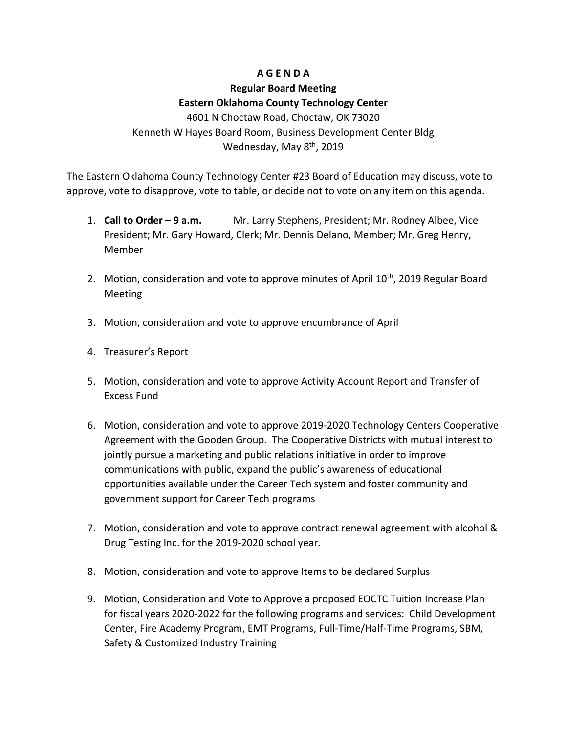# **A G E N D A**

# **Regular Board Meeting Eastern Oklahoma County Technology Center**

4601 N Choctaw Road, Choctaw, OK 73020 Kenneth W Hayes Board Room, Business Development Center Bldg Wednesday, May 8<sup>th</sup>, 2019

The Eastern Oklahoma County Technology Center #23 Board of Education may discuss, vote to approve, vote to disapprove, vote to table, or decide not to vote on any item on this agenda.

- 1. **Call to Order – 9 a.m.** Mr. Larry Stephens, President; Mr. Rodney Albee, Vice President; Mr. Gary Howard, Clerk; Mr. Dennis Delano, Member; Mr. Greg Henry, Member
- 2. Motion, consideration and vote to approve minutes of April  $10<sup>th</sup>$ , 2019 Regular Board Meeting
- 3. Motion, consideration and vote to approve encumbrance of April
- 4. Treasurer's Report
- 5. Motion, consideration and vote to approve Activity Account Report and Transfer of Excess Fund
- 6. Motion, consideration and vote to approve 2019-2020 Technology Centers Cooperative Agreement with the Gooden Group. The Cooperative Districts with mutual interest to jointly pursue a marketing and public relations initiative in order to improve communications with public, expand the public's awareness of educational opportunities available under the Career Tech system and foster community and government support for Career Tech programs
- 7. Motion, consideration and vote to approve contract renewal agreement with alcohol & Drug Testing Inc. for the 2019-2020 school year.
- 8. Motion, consideration and vote to approve Items to be declared Surplus
- 9. Motion, Consideration and Vote to Approve a proposed EOCTC Tuition Increase Plan for fiscal years 2020-2022 for the following programs and services: Child Development Center, Fire Academy Program, EMT Programs, Full-Time/Half-Time Programs, SBM, Safety & Customized Industry Training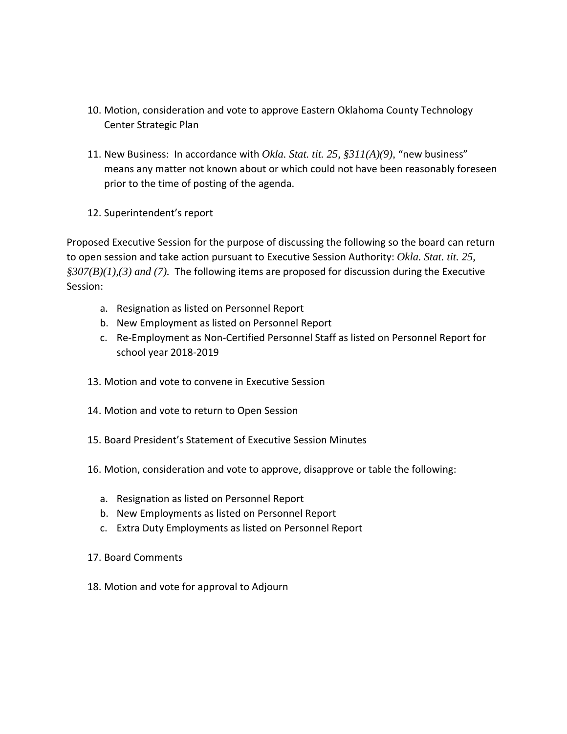- 10. Motion, consideration and vote to approve Eastern Oklahoma County Technology Center Strategic Plan
- 11. New Business: In accordance with *Okla. Stat. tit. 25, §311(A)(9)*, "new business" means any matter not known about or which could not have been reasonably foreseen prior to the time of posting of the agenda.
- 12. Superintendent's report

Proposed Executive Session for the purpose of discussing the following so the board can return to open session and take action pursuant to Executive Session Authority: *Okla. Stat. tit. 25, §307(B)(1),(3) and (7).* The following items are proposed for discussion during the Executive Session:

- a. Resignation as listed on Personnel Report
- b. New Employment as listed on Personnel Report
- c. Re-Employment as Non-Certified Personnel Staff as listed on Personnel Report for school year 2018-2019
- 13. Motion and vote to convene in Executive Session
- 14. Motion and vote to return to Open Session
- 15. Board President's Statement of Executive Session Minutes
- 16. Motion, consideration and vote to approve, disapprove or table the following:
	- a. Resignation as listed on Personnel Report
	- b. New Employments as listed on Personnel Report
	- c. Extra Duty Employments as listed on Personnel Report
- 17. Board Comments
- 18. Motion and vote for approval to Adjourn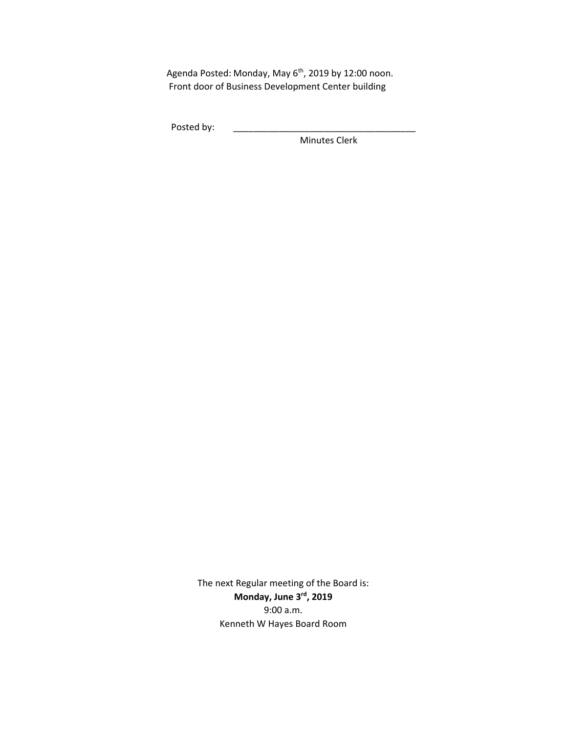Agenda Posted: Monday, May 6<sup>th</sup>, 2019 by 12:00 noon. Front door of Business Development Center building

Posted by:

Minutes Clerk

The next Regular meeting of the Board is: **Monday, June 3rd, 2019** 9:00 a.m. Kenneth W Hayes Board Room